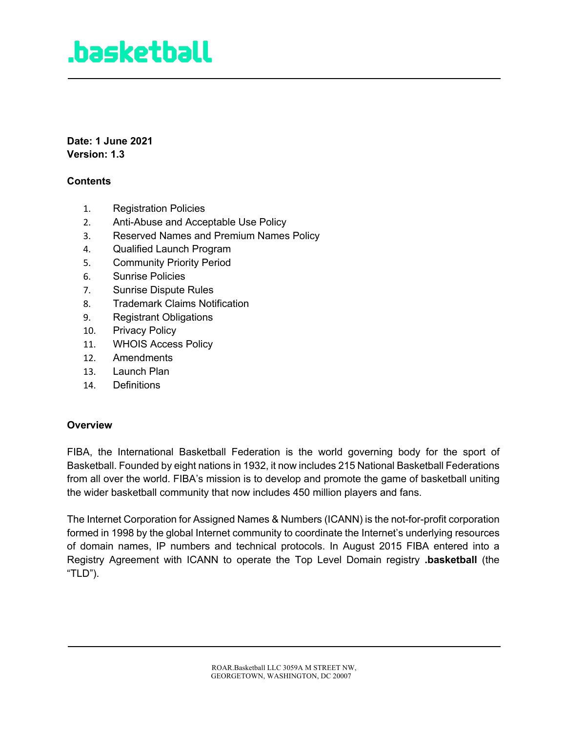**Date: 1 June 2021 Version: 1.3**

### **Contents**

- 1. Registration Policies
- 2. Anti-Abuse and Acceptable Use Policy
- 3. Reserved Names and Premium Names Policy
- 4. Qualified Launch Program
- 5. Community Priority Period
- 6. Sunrise Policies
- 7. Sunrise Dispute Rules
- 8. Trademark Claims Notification
- 9. Registrant Obligations
- 10. Privacy Policy
- 11. WHOIS Access Policy
- 12. Amendments
- 13. Launch Plan
- 14. Definitions

#### **Overview**

FIBA, the International Basketball Federation is the world governing body for the sport of Basketball. Founded by eight nations in 1932, it now includes 215 National Basketball Federations from all over the world. FIBA's mission is to develop and promote the game of basketball uniting the wider basketball community that now includes 450 million players and fans.

The Internet Corporation for Assigned Names & Numbers (ICANN) is the not-for-profit corporation formed in 1998 by the global Internet community to coordinate the Internet's underlying resources of domain names, IP numbers and technical protocols. In August 2015 FIBA entered into a Registry Agreement with ICANN to operate the Top Level Domain registry **.basketball** (the "TLD").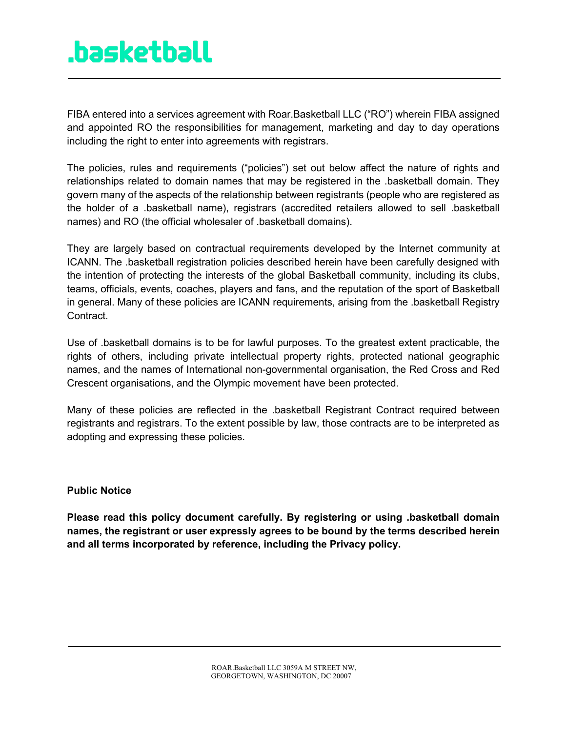FIBA entered into a services agreement with Roar.Basketball LLC ("RO") wherein FIBA assigned and appointed RO the responsibilities for management, marketing and day to day operations including the right to enter into agreements with registrars.

The policies, rules and requirements ("policies") set out below affect the nature of rights and relationships related to domain names that may be registered in the .basketball domain. They govern many of the aspects of the relationship between registrants (people who are registered as the holder of a .basketball name), registrars (accredited retailers allowed to sell .basketball names) and RO (the official wholesaler of .basketball domains).

They are largely based on contractual requirements developed by the Internet community at ICANN. The .basketball registration policies described herein have been carefully designed with the intention of protecting the interests of the global Basketball community, including its clubs, teams, officials, events, coaches, players and fans, and the reputation of the sport of Basketball in general. Many of these policies are ICANN requirements, arising from the .basketball Registry Contract.

Use of .basketball domains is to be for lawful purposes. To the greatest extent practicable, the rights of others, including private intellectual property rights, protected national geographic names, and the names of International non-governmental organisation, the Red Cross and Red Crescent organisations, and the Olympic movement have been protected.

Many of these policies are reflected in the .basketball Registrant Contract required between registrants and registrars. To the extent possible by law, those contracts are to be interpreted as adopting and expressing these policies.

### **Public Notice**

**Please read this policy document carefully. By registering or using .basketball domain names, the registrant or user expressly agrees to be bound by the terms described herein and all terms incorporated by reference, including the Privacy policy.**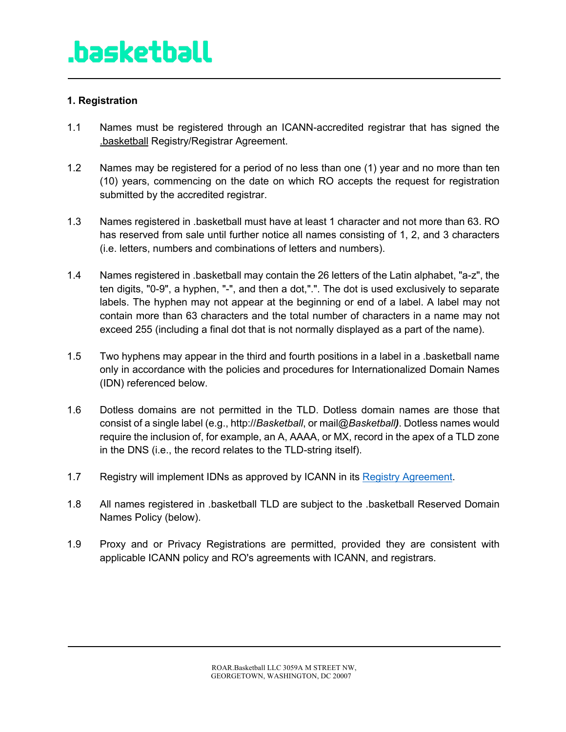### **1. Registration**

- 1.1 Names must be registered through an ICANN-accredited registrar that has signed the .basketball Registry/Registrar Agreement.
- 1.2 Names may be registered for a period of no less than one (1) year and no more than ten (10) years, commencing on the date on which RO accepts the request for registration submitted by the accredited registrar.
- 1.3 Names registered in .basketball must have at least 1 character and not more than 63. RO has reserved from sale until further notice all names consisting of 1, 2, and 3 characters (i.e. letters, numbers and combinations of letters and numbers).
- 1.4 Names registered in .basketball may contain the 26 letters of the Latin alphabet, "a-z", the ten digits, "0-9", a hyphen, "-", and then a dot,".". The dot is used exclusively to separate labels. The hyphen may not appear at the beginning or end of a label. A label may not contain more than 63 characters and the total number of characters in a name may not exceed 255 (including a final dot that is not normally displayed as a part of the name).
- 1.5 Two hyphens may appear in the third and fourth positions in a label in a .basketball name only in accordance with the policies and procedures for Internationalized Domain Names (IDN) referenced below.
- 1.6 Dotless domains are not permitted in the TLD. Dotless domain names are those that consist of a single label (e.g., http://*Basketball*, or mail@*Basketball)*. Dotless names would require the inclusion of, for example, an A, AAAA, or MX, record in the apex of a TLD zone in the DNS (i.e., the record relates to the TLD-string itself).
- 1.7 Registry will implement IDNs as approved by ICANN in its Registry Agreement.
- 1.8 All names registered in .basketball TLD are subject to the .basketball Reserved Domain Names Policy (below).
- 1.9 Proxy and or Privacy Registrations are permitted, provided they are consistent with applicable ICANN policy and RO's agreements with ICANN, and registrars.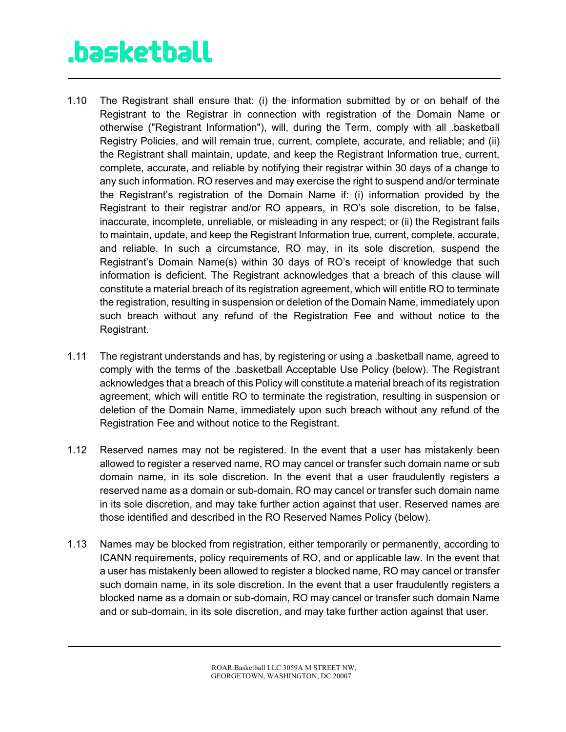- 1.10 The Registrant shall ensure that: (i) the information submitted by or on behalf of the Registrant to the Registrar in connection with registration of the Domain Name or otherwise ("Registrant Information"), will, during the Term, comply with all .basketball Registry Policies, and will remain true, current, complete, accurate, and reliable; and (ii) the Registrant shall maintain, update, and keep the Registrant Information true, current, complete, accurate, and reliable by notifying their registrar within 30 days of a change to any such information. RO reserves and may exercise the right to suspend and/or terminate the Registrant's registration of the Domain Name if: (i) information provided by the Registrant to their registrar and/or RO appears, in RO's sole discretion, to be false, inaccurate, incomplete, unreliable, or misleading in any respect; or (ii) the Registrant fails to maintain, update, and keep the Registrant Information true, current, complete, accurate, and reliable. In such a circumstance, RO may, in its sole discretion, suspend the Registrant's Domain Name(s) within 30 days of RO's receipt of knowledge that such information is deficient. The Registrant acknowledges that a breach of this clause will constitute a material breach of its registration agreement, which will entitle RO to terminate the registration, resulting in suspension or deletion of the Domain Name, immediately upon such breach without any refund of the Registration Fee and without notice to the Registrant.
- 1.11 The registrant understands and has, by registering or using a .basketball name, agreed to comply with the terms of the .basketball Acceptable Use Policy (below). The Registrant acknowledges that a breach of this Policy will constitute a material breach of its registration agreement, which will entitle RO to terminate the registration, resulting in suspension or deletion of the Domain Name, immediately upon such breach without any refund of the Registration Fee and without notice to the Registrant.
- 1.12 Reserved names may not be registered. In the event that a user has mistakenly been allowed to register a reserved name, RO may cancel or transfer such domain name or sub domain name, in its sole discretion. In the event that a user fraudulently registers a reserved name as a domain or sub-domain, RO may cancel or transfer such domain name in its sole discretion, and may take further action against that user. Reserved names are those identified and described in the RO Reserved Names Policy (below).
- 1.13 Names may be blocked from registration, either temporarily or permanently, according to ICANN requirements, policy requirements of RO, and or applicable law. In the event that a user has mistakenly been allowed to register a blocked name, RO may cancel or transfer such domain name, in its sole discretion. In the event that a user fraudulently registers a blocked name as a domain or sub-domain, RO may cancel or transfer such domain Name and or sub-domain, in its sole discretion, and may take further action against that user.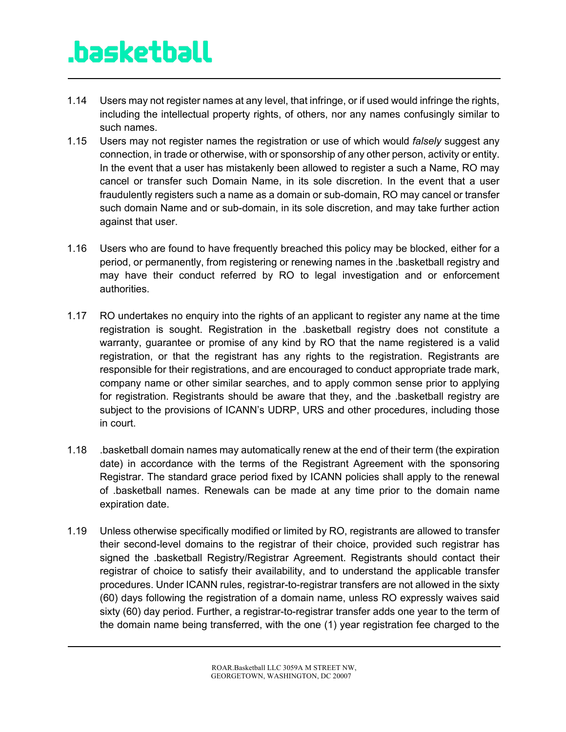- 1.14 Users may not register names at any level, that infringe, or if used would infringe the rights, including the intellectual property rights, of others, nor any names confusingly similar to such names.
- 1.15 Users may not register names the registration or use of which would *falsely* suggest any connection, in trade or otherwise, with or sponsorship of any other person, activity or entity. In the event that a user has mistakenly been allowed to register a such a Name, RO may cancel or transfer such Domain Name, in its sole discretion. In the event that a user fraudulently registers such a name as a domain or sub-domain, RO may cancel or transfer such domain Name and or sub-domain, in its sole discretion, and may take further action against that user.
- 1.16 Users who are found to have frequently breached this policy may be blocked, either for a period, or permanently, from registering or renewing names in the .basketball registry and may have their conduct referred by RO to legal investigation and or enforcement authorities.
- 1.17 RO undertakes no enquiry into the rights of an applicant to register any name at the time registration is sought. Registration in the .basketball registry does not constitute a warranty, guarantee or promise of any kind by RO that the name registered is a valid registration, or that the registrant has any rights to the registration. Registrants are responsible for their registrations, and are encouraged to conduct appropriate trade mark, company name or other similar searches, and to apply common sense prior to applying for registration. Registrants should be aware that they, and the .basketball registry are subject to the provisions of ICANN's UDRP, URS and other procedures, including those in court.
- 1.18 .basketball domain names may automatically renew at the end of their term (the expiration date) in accordance with the terms of the Registrant Agreement with the sponsoring Registrar. The standard grace period fixed by ICANN policies shall apply to the renewal of .basketball names. Renewals can be made at any time prior to the domain name expiration date.
- 1.19 Unless otherwise specifically modified or limited by RO, registrants are allowed to transfer their second-level domains to the registrar of their choice, provided such registrar has signed the .basketball Registry/Registrar Agreement. Registrants should contact their registrar of choice to satisfy their availability, and to understand the applicable transfer procedures. Under ICANN rules, registrar-to-registrar transfers are not allowed in the sixty (60) days following the registration of a domain name, unless RO expressly waives said sixty (60) day period. Further, a registrar-to-registrar transfer adds one year to the term of the domain name being transferred, with the one (1) year registration fee charged to the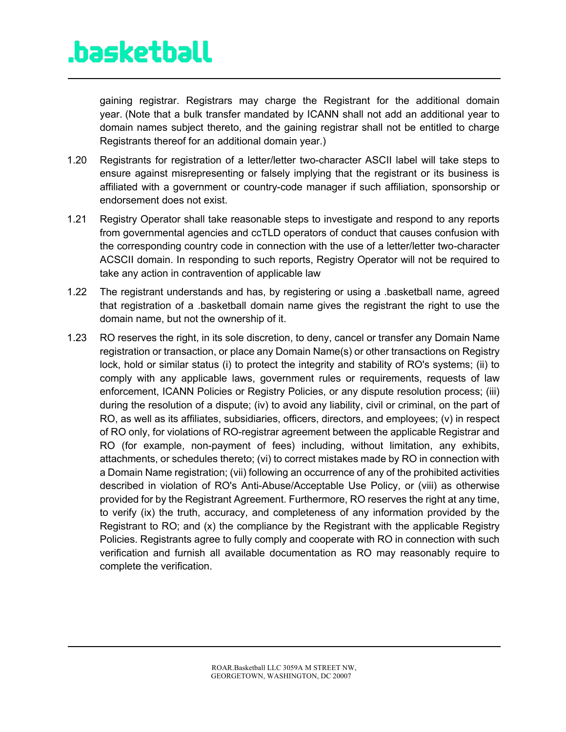gaining registrar. Registrars may charge the Registrant for the additional domain year. (Note that a bulk transfer mandated by ICANN shall not add an additional year to domain names subject thereto, and the gaining registrar shall not be entitled to charge Registrants thereof for an additional domain year.)

- 1.20 Registrants for registration of a letter/letter two-character ASCII label will take steps to ensure against misrepresenting or falsely implying that the registrant or its business is affiliated with a government or country-code manager if such affiliation, sponsorship or endorsement does not exist.
- 1.21 Registry Operator shall take reasonable steps to investigate and respond to any reports from governmental agencies and ccTLD operators of conduct that causes confusion with the corresponding country code in connection with the use of a letter/letter two-character ACSCII domain. In responding to such reports, Registry Operator will not be required to take any action in contravention of applicable law
- 1.22 The registrant understands and has, by registering or using a .basketball name, agreed that registration of a .basketball domain name gives the registrant the right to use the domain name, but not the ownership of it.
- 1.23 RO reserves the right, in its sole discretion, to deny, cancel or transfer any Domain Name registration or transaction, or place any Domain Name(s) or other transactions on Registry lock, hold or similar status (i) to protect the integrity and stability of RO's systems; (ii) to comply with any applicable laws, government rules or requirements, requests of law enforcement, ICANN Policies or Registry Policies, or any dispute resolution process; (iii) during the resolution of a dispute; (iv) to avoid any liability, civil or criminal, on the part of RO, as well as its affiliates, subsidiaries, officers, directors, and employees; (v) in respect of RO only, for violations of RO-registrar agreement between the applicable Registrar and RO (for example, non-payment of fees) including, without limitation, any exhibits, attachments, or schedules thereto; (vi) to correct mistakes made by RO in connection with a Domain Name registration; (vii) following an occurrence of any of the prohibited activities described in violation of RO's Anti-Abuse/Acceptable Use Policy, or (viii) as otherwise provided for by the Registrant Agreement. Furthermore, RO reserves the right at any time, to verify (ix) the truth, accuracy, and completeness of any information provided by the Registrant to RO; and (x) the compliance by the Registrant with the applicable Registry Policies. Registrants agree to fully comply and cooperate with RO in connection with such verification and furnish all available documentation as RO may reasonably require to complete the verification.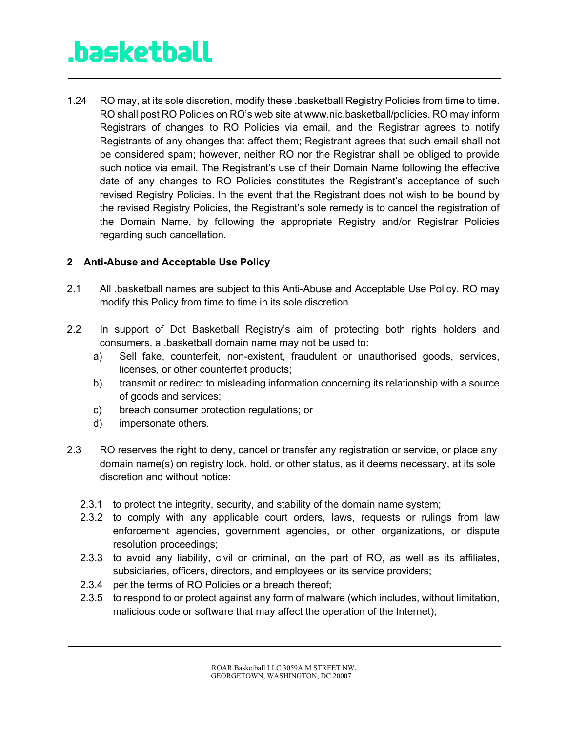1.24 RO may, at its sole discretion, modify these .basketball Registry Policies from time to time. RO shall post RO Policies on RO's web site at www.nic.basketball/policies. RO may inform Registrars of changes to RO Policies via email, and the Registrar agrees to notify Registrants of any changes that affect them; Registrant agrees that such email shall not be considered spam; however, neither RO nor the Registrar shall be obliged to provide such notice via email. The Registrant's use of their Domain Name following the effective date of any changes to RO Policies constitutes the Registrant's acceptance of such revised Registry Policies. In the event that the Registrant does not wish to be bound by the revised Registry Policies, the Registrant's sole remedy is to cancel the registration of the Domain Name, by following the appropriate Registry and/or Registrar Policies regarding such cancellation.

### **2 Anti-Abuse and Acceptable Use Policy**

- 2.1 All .basketball names are subject to this Anti-Abuse and Acceptable Use Policy. RO may modify this Policy from time to time in its sole discretion.
- 2.2 In support of Dot Basketball Registry's aim of protecting both rights holders and consumers, a .basketball domain name may not be used to:
	- a) Sell fake, counterfeit, non-existent, fraudulent or unauthorised goods, services, licenses, or other counterfeit products;
	- b) transmit or redirect to misleading information concerning its relationship with a source of goods and services;
	- c) breach consumer protection regulations; or
	- d) impersonate others.
- 2.3 RO reserves the right to deny, cancel or transfer any registration or service, or place any domain name(s) on registry lock, hold, or other status, as it deems necessary, at its sole discretion and without notice:
	- 2.3.1 to protect the integrity, security, and stability of the domain name system;
	- 2.3.2 to comply with any applicable court orders, laws, requests or rulings from law enforcement agencies, government agencies, or other organizations, or dispute resolution proceedings;
	- 2.3.3 to avoid any liability, civil or criminal, on the part of RO, as well as its affiliates, subsidiaries, officers, directors, and employees or its service providers;
	- 2.3.4 per the terms of RO Policies or a breach thereof;
	- 2.3.5 to respond to or protect against any form of malware (which includes, without limitation, malicious code or software that may affect the operation of the Internet);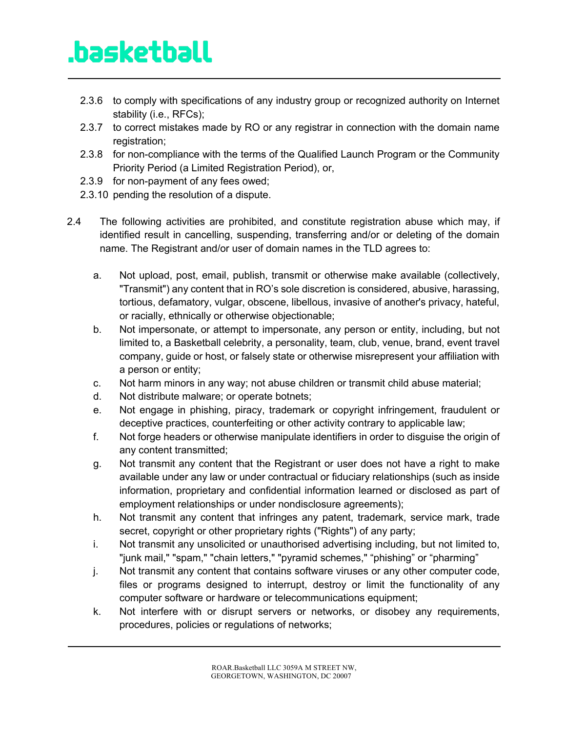- 2.3.6 to comply with specifications of any industry group or recognized authority on Internet stability (i.e., RFCs);
- 2.3.7 to correct mistakes made by RO or any registrar in connection with the domain name registration;
- 2.3.8 for non-compliance with the terms of the Qualified Launch Program or the Community Priority Period (a Limited Registration Period), or,
- 2.3.9 for non-payment of any fees owed;
- 2.3.10 pending the resolution of a dispute.
- 2.4 The following activities are prohibited, and constitute registration abuse which may, if identified result in cancelling, suspending, transferring and/or or deleting of the domain name. The Registrant and/or user of domain names in the TLD agrees to:
	- a. Not upload, post, email, publish, transmit or otherwise make available (collectively, "Transmit") any content that in RO's sole discretion is considered, abusive, harassing, tortious, defamatory, vulgar, obscene, libellous, invasive of another's privacy, hateful, or racially, ethnically or otherwise objectionable;
	- b. Not impersonate, or attempt to impersonate, any person or entity, including, but not limited to, a Basketball celebrity, a personality, team, club, venue, brand, event travel company, guide or host, or falsely state or otherwise misrepresent your affiliation with a person or entity;
	- c. Not harm minors in any way; not abuse children or transmit child abuse material;
	- d. Not distribute malware; or operate botnets;
	- e. Not engage in phishing, piracy, trademark or copyright infringement, fraudulent or deceptive practices, counterfeiting or other activity contrary to applicable law;
	- f. Not forge headers or otherwise manipulate identifiers in order to disguise the origin of any content transmitted;
	- g. Not transmit any content that the Registrant or user does not have a right to make available under any law or under contractual or fiduciary relationships (such as inside information, proprietary and confidential information learned or disclosed as part of employment relationships or under nondisclosure agreements);
	- h. Not transmit any content that infringes any patent, trademark, service mark, trade secret, copyright or other proprietary rights ("Rights") of any party;
	- i. Not transmit any unsolicited or unauthorised advertising including, but not limited to, "junk mail," "spam," "chain letters," "pyramid schemes," "phishing" or "pharming"
	- j. Not transmit any content that contains software viruses or any other computer code, files or programs designed to interrupt, destroy or limit the functionality of any computer software or hardware or telecommunications equipment;
	- k. Not interfere with or disrupt servers or networks, or disobey any requirements, procedures, policies or regulations of networks;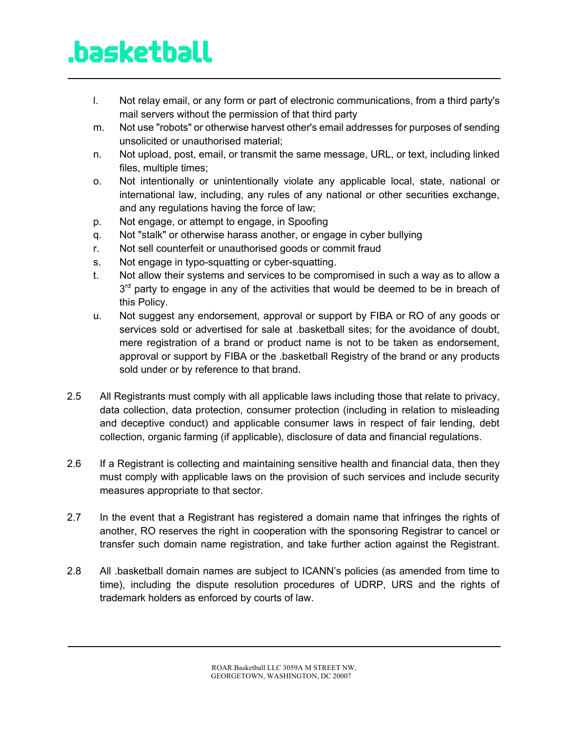- l. Not relay email, or any form or part of electronic communications, from a third party's mail servers without the permission of that third party
- m. Not use "robots" or otherwise harvest other's email addresses for purposes of sending unsolicited or unauthorised material;
- n. Not upload, post, email, or transmit the same message, URL, or text, including linked files, multiple times;
- o. Not intentionally or unintentionally violate any applicable local, state, national or international law, including, any rules of any national or other securities exchange, and any regulations having the force of law;
- p. Not engage, or attempt to engage, in Spoofing
- q. Not "stalk" or otherwise harass another, or engage in cyber bullying
- r. Not sell counterfeit or unauthorised goods or commit fraud
- s. Not engage in typo-squatting or cyber-squatting.
- t. Not allow their systems and services to be compromised in such a way as to allow a  $3<sup>rd</sup>$  party to engage in any of the activities that would be deemed to be in breach of this Policy.
- u. Not suggest any endorsement, approval or support by FIBA or RO of any goods or services sold or advertised for sale at .basketball sites; for the avoidance of doubt, mere registration of a brand or product name is not to be taken as endorsement, approval or support by FIBA or the .basketball Registry of the brand or any products sold under or by reference to that brand.
- 2.5 All Registrants must comply with all applicable laws including those that relate to privacy, data collection, data protection, consumer protection (including in relation to misleading and deceptive conduct) and applicable consumer laws in respect of fair lending, debt collection, organic farming (if applicable), disclosure of data and financial regulations.
- 2.6 If a Registrant is collecting and maintaining sensitive health and financial data, then they must comply with applicable laws on the provision of such services and include security measures appropriate to that sector.
- 2.7 In the event that a Registrant has registered a domain name that infringes the rights of another, RO reserves the right in cooperation with the sponsoring Registrar to cancel or transfer such domain name registration, and take further action against the Registrant.
- 2.8 All .basketball domain names are subject to ICANN's policies (as amended from time to time), including the dispute resolution procedures of UDRP, URS and the rights of trademark holders as enforced by courts of law.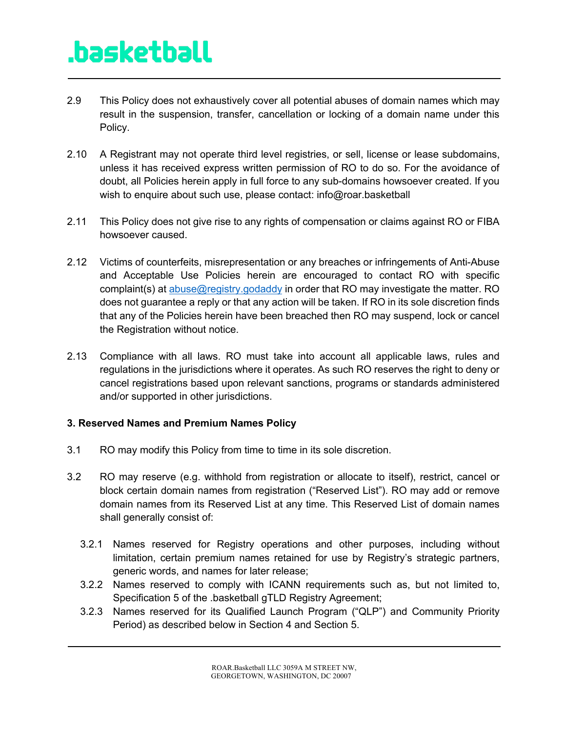- 2.9 This Policy does not exhaustively cover all potential abuses of domain names which may result in the suspension, transfer, cancellation or locking of a domain name under this Policy.
- 2.10 A Registrant may not operate third level registries, or sell, license or lease subdomains, unless it has received express written permission of RO to do so. For the avoidance of doubt, all Policies herein apply in full force to any sub-domains howsoever created. If you wish to enquire about such use, please contact: info@roar.basketball
- 2.11 This Policy does not give rise to any rights of compensation or claims against RO or FIBA howsoever caused.
- 2.12 Victims of counterfeits, misrepresentation or any breaches or infringements of Anti-Abuse and Acceptable Use Policies herein are encouraged to contact RO with specific complaint(s) at abuse@registry.godaddy in order that RO may investigate the matter. RO does not guarantee a reply or that any action will be taken. If RO in its sole discretion finds that any of the Policies herein have been breached then RO may suspend, lock or cancel the Registration without notice.
- 2.13 Compliance with all laws. RO must take into account all applicable laws, rules and regulations in the jurisdictions where it operates. As such RO reserves the right to deny or cancel registrations based upon relevant sanctions, programs or standards administered and/or supported in other jurisdictions.

### **3. Reserved Names and Premium Names Policy**

- 3.1 RO may modify this Policy from time to time in its sole discretion.
- 3.2 RO may reserve (e.g. withhold from registration or allocate to itself), restrict, cancel or block certain domain names from registration ("Reserved List"). RO may add or remove domain names from its Reserved List at any time. This Reserved List of domain names shall generally consist of:
	- 3.2.1 Names reserved for Registry operations and other purposes, including without limitation, certain premium names retained for use by Registry's strategic partners, generic words, and names for later release;
	- 3.2.2 Names reserved to comply with ICANN requirements such as, but not limited to, Specification 5 of the .basketball gTLD Registry Agreement;
	- 3.2.3 Names reserved for its Qualified Launch Program ("QLP") and Community Priority Period) as described below in Section 4 and Section 5.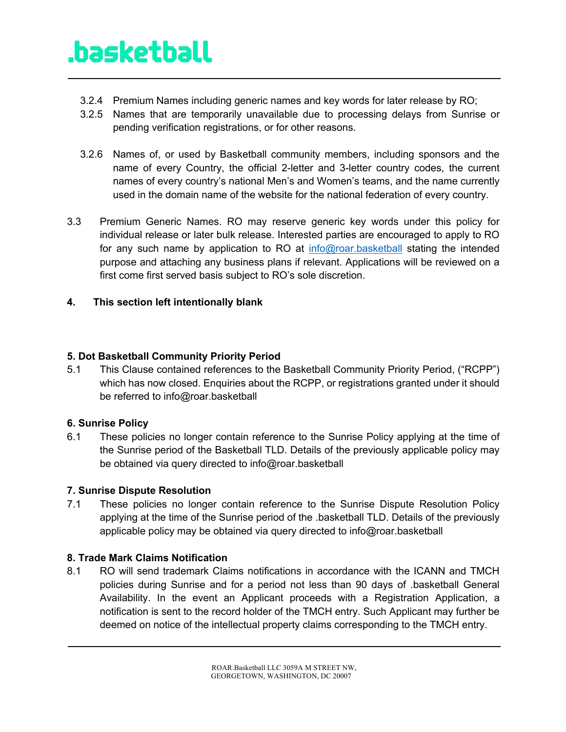- 3.2.4 Premium Names including generic names and key words for later release by RO;
- 3.2.5 Names that are temporarily unavailable due to processing delays from Sunrise or pending verification registrations, or for other reasons.
- 3.2.6 Names of, or used by Basketball community members, including sponsors and the name of every Country, the official 2-letter and 3-letter country codes, the current names of every country's national Men's and Women's teams, and the name currently used in the domain name of the website for the national federation of every country.
- 3.3 Premium Generic Names. RO may reserve generic key words under this policy for individual release or later bulk release. Interested parties are encouraged to apply to RO for any such name by application to RO at info@roar.basketball stating the intended purpose and attaching any business plans if relevant. Applications will be reviewed on a first come first served basis subject to RO's sole discretion.

### **4. This section left intentionally blank**

### **5. Dot Basketball Community Priority Period**

5.1 This Clause contained references to the Basketball Community Priority Period, ("RCPP") which has now closed. Enquiries about the RCPP, or registrations granted under it should be referred to info@roar.basketball

### **6. Sunrise Policy**

6.1 These policies no longer contain reference to the Sunrise Policy applying at the time of the Sunrise period of the Basketball TLD. Details of the previously applicable policy may be obtained via query directed to info@roar.basketball

### **7. Sunrise Dispute Resolution**

7.1 These policies no longer contain reference to the Sunrise Dispute Resolution Policy applying at the time of the Sunrise period of the .basketball TLD. Details of the previously applicable policy may be obtained via query directed to info@roar.basketball

### **8. Trade Mark Claims Notification**

8.1 RO will send trademark Claims notifications in accordance with the ICANN and TMCH policies during Sunrise and for a period not less than 90 days of .basketball General Availability. In the event an Applicant proceeds with a Registration Application, a notification is sent to the record holder of the TMCH entry. Such Applicant may further be deemed on notice of the intellectual property claims corresponding to the TMCH entry.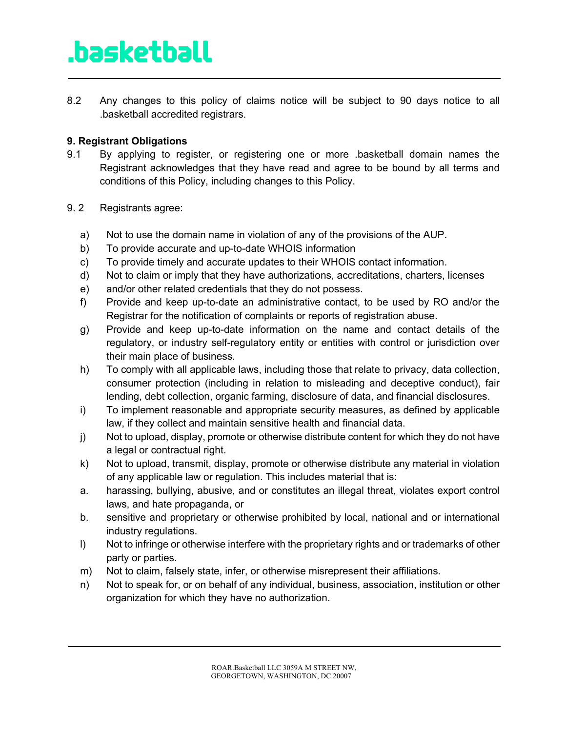8.2 Any changes to this policy of claims notice will be subject to 90 days notice to all .basketball accredited registrars.

### **9. Registrant Obligations**

- 9.1 By applying to register, or registering one or more .basketball domain names the Registrant acknowledges that they have read and agree to be bound by all terms and conditions of this Policy, including changes to this Policy.
- 9. 2 Registrants agree:
	- a) Not to use the domain name in violation of any of the provisions of the AUP.
	- b) To provide accurate and up-to-date WHOIS information
	- c) To provide timely and accurate updates to their WHOIS contact information.
	- d) Not to claim or imply that they have authorizations, accreditations, charters, licenses
	- e) and/or other related credentials that they do not possess.
	- f) Provide and keep up-to-date an administrative contact, to be used by RO and/or the Registrar for the notification of complaints or reports of registration abuse.
	- g) Provide and keep up-to-date information on the name and contact details of the regulatory, or industry self-regulatory entity or entities with control or jurisdiction over their main place of business.
	- h) To comply with all applicable laws, including those that relate to privacy, data collection, consumer protection (including in relation to misleading and deceptive conduct), fair lending, debt collection, organic farming, disclosure of data, and financial disclosures.
	- i) To implement reasonable and appropriate security measures, as defined by applicable law, if they collect and maintain sensitive health and financial data.
	- j) Not to upload, display, promote or otherwise distribute content for which they do not have a legal or contractual right.
	- k) Not to upload, transmit, display, promote or otherwise distribute any material in violation of any applicable law or regulation. This includes material that is:
	- a. harassing, bullying, abusive, and or constitutes an illegal threat, violates export control laws, and hate propaganda, or
	- b. sensitive and proprietary or otherwise prohibited by local, national and or international industry regulations.
	- l) Not to infringe or otherwise interfere with the proprietary rights and or trademarks of other party or parties.
	- m) Not to claim, falsely state, infer, or otherwise misrepresent their affiliations.
	- n) Not to speak for, or on behalf of any individual, business, association, institution or other organization for which they have no authorization.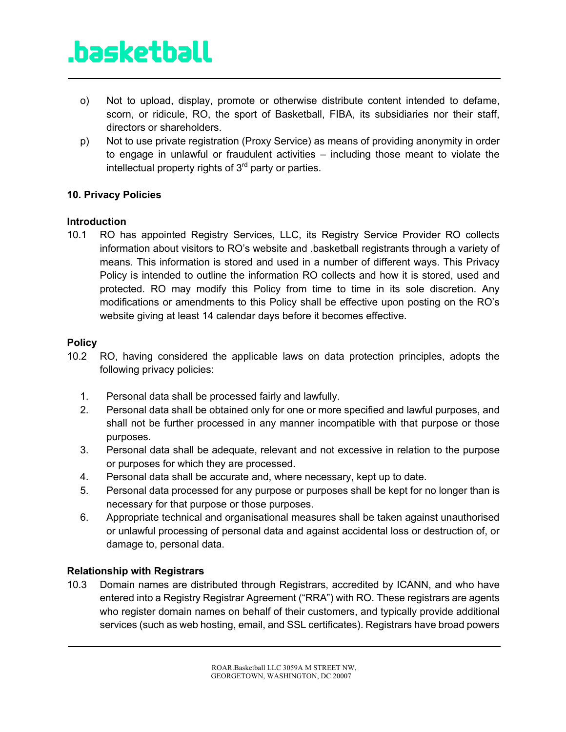- o) Not to upload, display, promote or otherwise distribute content intended to defame, scorn, or ridicule, RO, the sport of Basketball, FIBA, its subsidiaries nor their staff, directors or shareholders.
- p) Not to use private registration (Proxy Service) as means of providing anonymity in order to engage in unlawful or fraudulent activities – including those meant to violate the intellectual property rights of  $3<sup>rd</sup>$  party or parties.

#### **10. Privacy Policies**

#### **Introduction**

10.1 RO has appointed Registry Services, LLC, its Registry Service Provider RO collects information about visitors to RO's website and .basketball registrants through a variety of means. This information is stored and used in a number of different ways. This Privacy Policy is intended to outline the information RO collects and how it is stored, used and protected. RO may modify this Policy from time to time in its sole discretion. Any modifications or amendments to this Policy shall be effective upon posting on the RO's website giving at least 14 calendar days before it becomes effective.

### **Policy**

- 10.2 RO, having considered the applicable laws on data protection principles, adopts the following privacy policies:
	- 1. Personal data shall be processed fairly and lawfully.
	- 2. Personal data shall be obtained only for one or more specified and lawful purposes, and shall not be further processed in any manner incompatible with that purpose or those purposes.
	- 3. Personal data shall be adequate, relevant and not excessive in relation to the purpose or purposes for which they are processed.
	- 4. Personal data shall be accurate and, where necessary, kept up to date.
	- 5. Personal data processed for any purpose or purposes shall be kept for no longer than is necessary for that purpose or those purposes.
	- 6. Appropriate technical and organisational measures shall be taken against unauthorised or unlawful processing of personal data and against accidental loss or destruction of, or damage to, personal data.

### **Relationship with Registrars**

10.3 Domain names are distributed through Registrars, accredited by ICANN, and who have entered into a Registry Registrar Agreement ("RRA") with RO. These registrars are agents who register domain names on behalf of their customers, and typically provide additional services (such as web hosting, email, and SSL certificates). Registrars have broad powers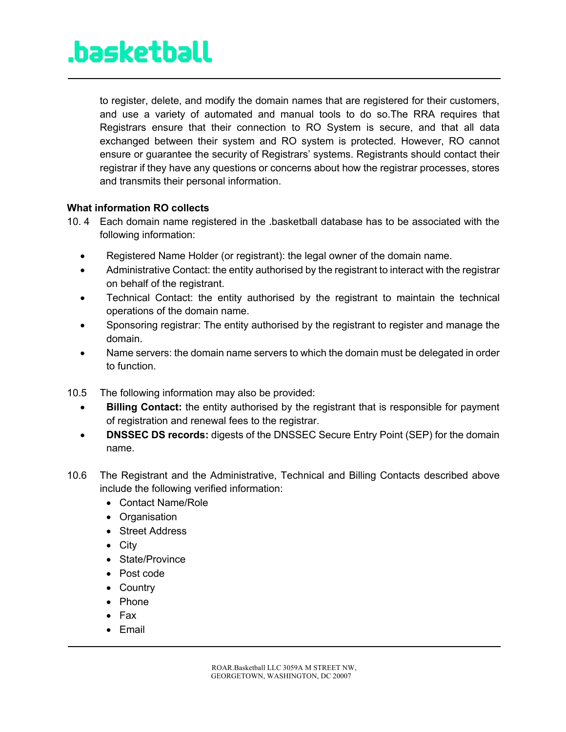to register, delete, and modify the domain names that are registered for their customers, and use a variety of automated and manual tools to do so.The RRA requires that Registrars ensure that their connection to RO System is secure, and that all data exchanged between their system and RO system is protected. However, RO cannot ensure or guarantee the security of Registrars' systems. Registrants should contact their registrar if they have any questions or concerns about how the registrar processes, stores and transmits their personal information.

#### **What information RO collects**

- 10. 4 Each domain name registered in the .basketball database has to be associated with the following information:
	- Registered Name Holder (or registrant): the legal owner of the domain name.
	- Administrative Contact: the entity authorised by the registrant to interact with the registrar on behalf of the registrant.
	- Technical Contact: the entity authorised by the registrant to maintain the technical operations of the domain name.
	- Sponsoring registrar: The entity authorised by the registrant to register and manage the domain.
	- Name servers: the domain name servers to which the domain must be delegated in order to function.
- 10.5 The following information may also be provided:
	- **Billing Contact:** the entity authorised by the registrant that is responsible for payment of registration and renewal fees to the registrar.
	- **DNSSEC DS records:** digests of the DNSSEC Secure Entry Point (SEP) for the domain name.
- 10.6 The Registrant and the Administrative, Technical and Billing Contacts described above include the following verified information:
	- Contact Name/Role
	- Organisation
	- Street Address
	- City
	- State/Province
	- Post code
	- Country
	- Phone
	- Fax
	- Email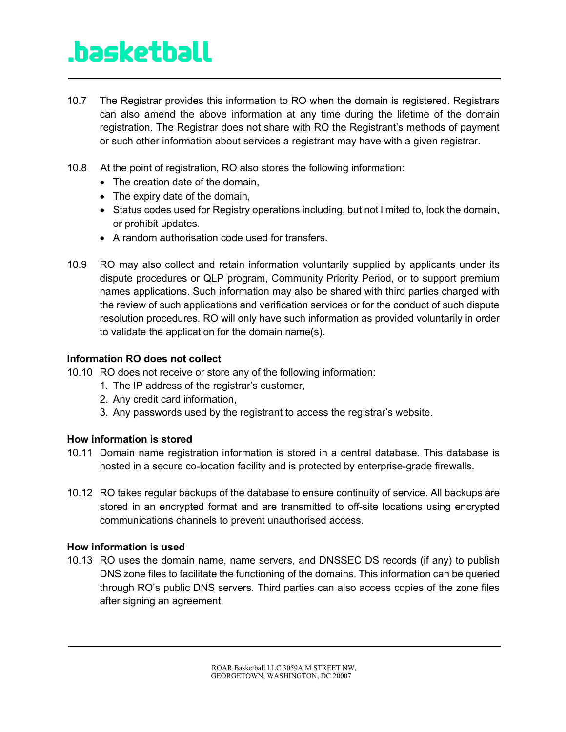- 10.7 The Registrar provides this information to RO when the domain is registered. Registrars can also amend the above information at any time during the lifetime of the domain registration. The Registrar does not share with RO the Registrant's methods of payment or such other information about services a registrant may have with a given registrar.
- 10.8 At the point of registration, RO also stores the following information:
	- The creation date of the domain,
	- The expiry date of the domain,
	- Status codes used for Registry operations including, but not limited to, lock the domain, or prohibit updates.
	- A random authorisation code used for transfers.
- 10.9 RO may also collect and retain information voluntarily supplied by applicants under its dispute procedures or QLP program, Community Priority Period, or to support premium names applications. Such information may also be shared with third parties charged with the review of such applications and verification services or for the conduct of such dispute resolution procedures. RO will only have such information as provided voluntarily in order to validate the application for the domain name(s).

#### **Information RO does not collect**

- 10.10 RO does not receive or store any of the following information:
	- 1. The IP address of the registrar's customer,
	- 2. Any credit card information,
	- 3. Any passwords used by the registrant to access the registrar's website.

#### **How information is stored**

- 10.11 Domain name registration information is stored in a central database. This database is hosted in a secure co-location facility and is protected by enterprise-grade firewalls.
- 10.12 RO takes regular backups of the database to ensure continuity of service. All backups are stored in an encrypted format and are transmitted to off-site locations using encrypted communications channels to prevent unauthorised access.

#### **How information is used**

10.13 RO uses the domain name, name servers, and DNSSEC DS records (if any) to publish DNS zone files to facilitate the functioning of the domains. This information can be queried through RO's public DNS servers. Third parties can also access copies of the zone files after signing an agreement.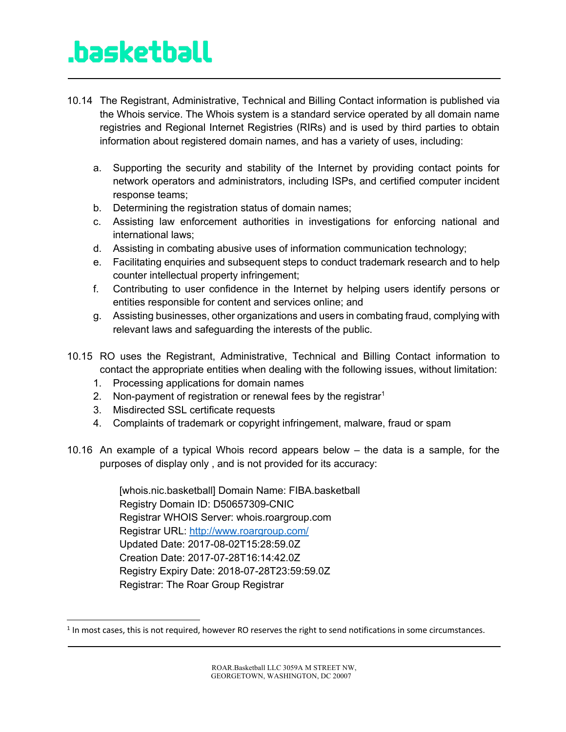- 10.14 The Registrant, Administrative, Technical and Billing Contact information is published via the Whois service. The Whois system is a standard service operated by all domain name registries and Regional Internet Registries (RIRs) and is used by third parties to obtain information about registered domain names, and has a variety of uses, including:
	- a. Supporting the security and stability of the Internet by providing contact points for network operators and administrators, including ISPs, and certified computer incident response teams;
	- b. Determining the registration status of domain names;
	- c. Assisting law enforcement authorities in investigations for enforcing national and international laws;
	- d. Assisting in combating abusive uses of information communication technology;
	- e. Facilitating enquiries and subsequent steps to conduct trademark research and to help counter intellectual property infringement;
	- f. Contributing to user confidence in the Internet by helping users identify persons or entities responsible for content and services online; and
	- g. Assisting businesses, other organizations and users in combating fraud, complying with relevant laws and safeguarding the interests of the public.
- 10.15 RO uses the Registrant, Administrative, Technical and Billing Contact information to contact the appropriate entities when dealing with the following issues, without limitation:
	- 1. Processing applications for domain names
	- 2. Non-payment of registration or renewal fees by the registrar<sup>1</sup>
	- 3. Misdirected SSL certificate requests
	- 4. Complaints of trademark or copyright infringement, malware, fraud or spam
- 10.16 An example of a typical Whois record appears below the data is a sample, for the purposes of display only , and is not provided for its accuracy:

[whois.nic.basketball] Domain Name: FIBA.basketball Registry Domain ID: D50657309-CNIC Registrar WHOIS Server: whois.roargroup.com Registrar URL: http://www.roargroup.com/ Updated Date: 2017-08-02T15:28:59.0Z Creation Date: 2017-07-28T16:14:42.0Z Registry Expiry Date: 2018-07-28T23:59:59.0Z Registrar: The Roar Group Registrar

<sup>&</sup>lt;sup>1</sup> In most cases, this is not required, however RO reserves the right to send notifications in some circumstances.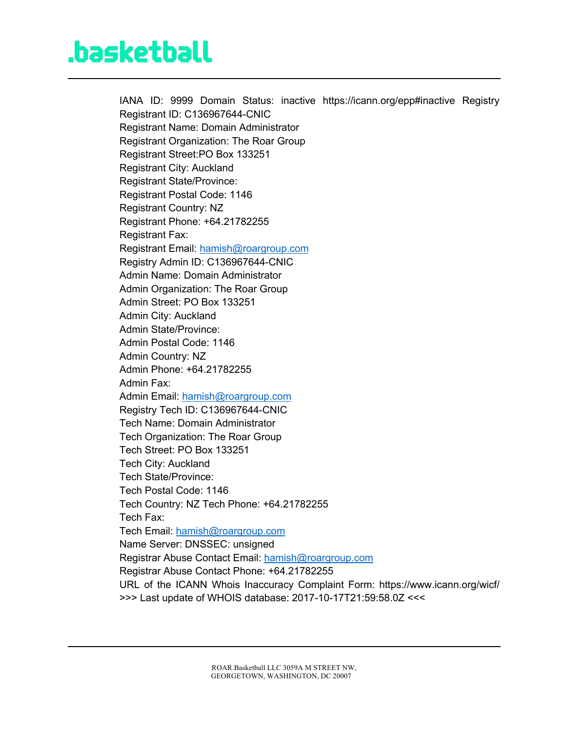IANA ID: 9999 Domain Status: inactive https://icann.org/epp#inactive Registry Registrant ID: C136967644-CNIC Registrant Name: Domain Administrator Registrant Organization: The Roar Group Registrant Street:PO Box 133251 Registrant City: Auckland Registrant State/Province: Registrant Postal Code: 1146 Registrant Country: NZ Registrant Phone: +64.21782255 Registrant Fax: Registrant Email: hamish@roargroup.com Registry Admin ID: C136967644-CNIC Admin Name: Domain Administrator Admin Organization: The Roar Group Admin Street: PO Box 133251 Admin City: Auckland Admin State/Province: Admin Postal Code: 1146 Admin Country: NZ Admin Phone: +64.21782255 Admin Fax: Admin Email: hamish@roargroup.com Registry Tech ID: C136967644-CNIC Tech Name: Domain Administrator Tech Organization: The Roar Group Tech Street: PO Box 133251 Tech City: Auckland Tech State/Province: Tech Postal Code: 1146 Tech Country: NZ Tech Phone: +64.21782255 Tech Fax: Tech Email: hamish@roargroup.com Name Server: DNSSEC: unsigned Registrar Abuse Contact Email: hamish@roargroup.com Registrar Abuse Contact Phone: +64.21782255 URL of the ICANN Whois Inaccuracy Complaint Form: https://www.icann.org/wicf/ >>> Last update of WHOIS database: 2017-10-17T21:59:58.0Z <<<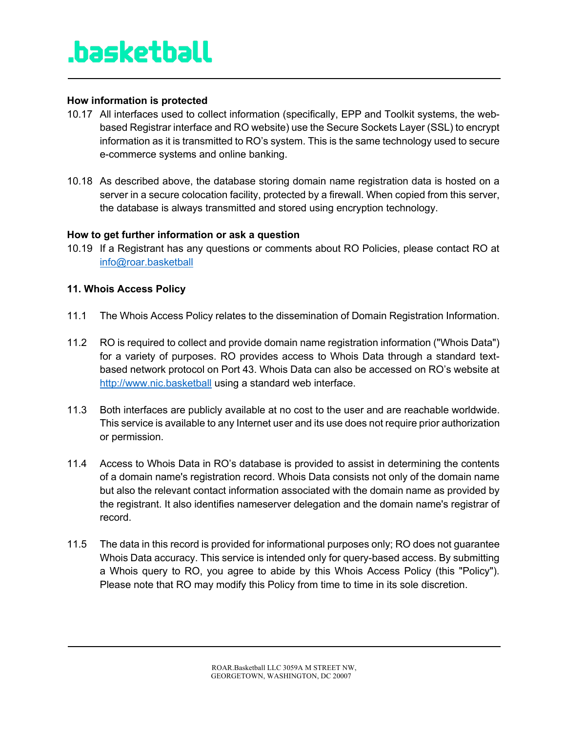#### **How information is protected**

- 10.17 All interfaces used to collect information (specifically, EPP and Toolkit systems, the webbased Registrar interface and RO website) use the Secure Sockets Layer (SSL) to encrypt information as it is transmitted to RO's system. This is the same technology used to secure e-commerce systems and online banking.
- 10.18 As described above, the database storing domain name registration data is hosted on a server in a secure colocation facility, protected by a firewall. When copied from this server, the database is always transmitted and stored using encryption technology.

#### **How to get further information or ask a question**

10.19 If a Registrant has any questions or comments about RO Policies, please contact RO at info@roar.basketball

#### **11. Whois Access Policy**

- 11.1 The Whois Access Policy relates to the dissemination of Domain Registration Information.
- 11.2 RO is required to collect and provide domain name registration information ("Whois Data") for a variety of purposes. RO provides access to Whois Data through a standard textbased network protocol on Port 43. Whois Data can also be accessed on RO's website at http://www.nic.basketball using a standard web interface.
- 11.3 Both interfaces are publicly available at no cost to the user and are reachable worldwide. This service is available to any Internet user and its use does not require prior authorization or permission.
- 11.4 Access to Whois Data in RO's database is provided to assist in determining the contents of a domain name's registration record. Whois Data consists not only of the domain name but also the relevant contact information associated with the domain name as provided by the registrant. It also identifies nameserver delegation and the domain name's registrar of record.
- 11.5 The data in this record is provided for informational purposes only; RO does not guarantee Whois Data accuracy. This service is intended only for query-based access. By submitting a Whois query to RO, you agree to abide by this Whois Access Policy (this "Policy"). Please note that RO may modify this Policy from time to time in its sole discretion.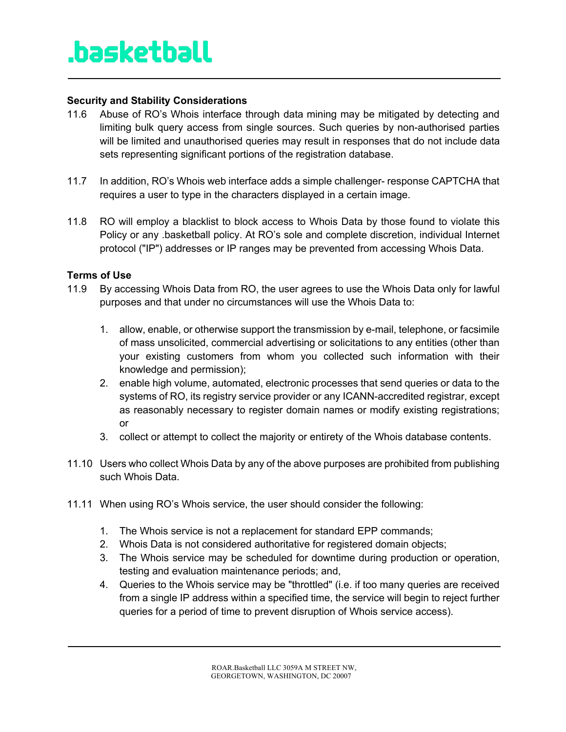#### **Security and Stability Considerations**

- 11.6 Abuse of RO's Whois interface through data mining may be mitigated by detecting and limiting bulk query access from single sources. Such queries by non-authorised parties will be limited and unauthorised queries may result in responses that do not include data sets representing significant portions of the registration database.
- 11.7 In addition, RO's Whois web interface adds a simple challenger- response CAPTCHA that requires a user to type in the characters displayed in a certain image.
- 11.8 RO will employ a blacklist to block access to Whois Data by those found to violate this Policy or any .basketball policy. At RO's sole and complete discretion, individual Internet protocol ("IP") addresses or IP ranges may be prevented from accessing Whois Data.

#### **Terms of Use**

- 11.9 By accessing Whois Data from RO, the user agrees to use the Whois Data only for lawful purposes and that under no circumstances will use the Whois Data to:
	- 1. allow, enable, or otherwise support the transmission by e-mail, telephone, or facsimile of mass unsolicited, commercial advertising or solicitations to any entities (other than your existing customers from whom you collected such information with their knowledge and permission);
	- 2. enable high volume, automated, electronic processes that send queries or data to the systems of RO, its registry service provider or any ICANN-accredited registrar, except as reasonably necessary to register domain names or modify existing registrations; or
	- 3. collect or attempt to collect the majority or entirety of the Whois database contents.
- 11.10 Users who collect Whois Data by any of the above purposes are prohibited from publishing such Whois Data.
- 11.11 When using RO's Whois service, the user should consider the following:
	- 1. The Whois service is not a replacement for standard EPP commands;
	- 2. Whois Data is not considered authoritative for registered domain objects;
	- 3. The Whois service may be scheduled for downtime during production or operation, testing and evaluation maintenance periods; and,
	- 4. Queries to the Whois service may be "throttled" (i.e. if too many queries are received from a single IP address within a specified time, the service will begin to reject further queries for a period of time to prevent disruption of Whois service access).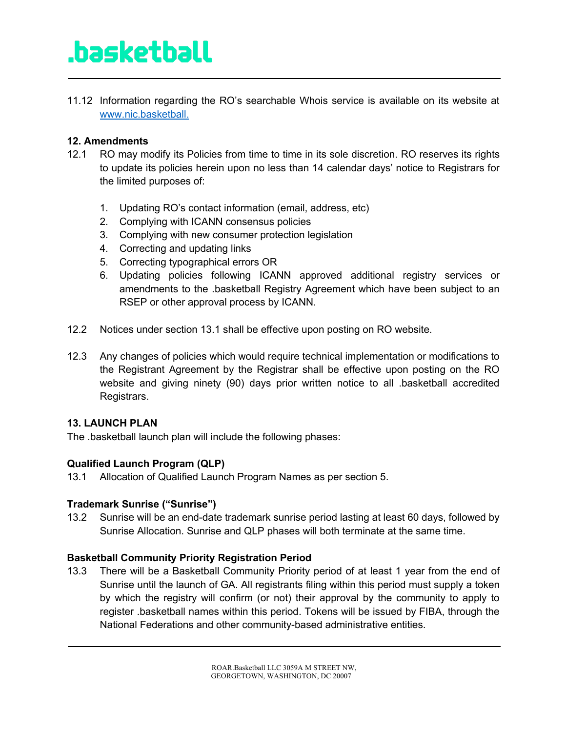11.12 Information regarding the RO's searchable Whois service is available on its website at www.nic.basketball.

### **12. Amendments**

- 12.1 RO may modify its Policies from time to time in its sole discretion. RO reserves its rights to update its policies herein upon no less than 14 calendar days' notice to Registrars for the limited purposes of:
	- 1. Updating RO's contact information (email, address, etc)
	- 2. Complying with ICANN consensus policies
	- 3. Complying with new consumer protection legislation
	- 4. Correcting and updating links
	- 5. Correcting typographical errors OR
	- 6. Updating policies following ICANN approved additional registry services or amendments to the .basketball Registry Agreement which have been subject to an RSEP or other approval process by ICANN.
- 12.2 Notices under section 13.1 shall be effective upon posting on RO website.
- 12.3 Any changes of policies which would require technical implementation or modifications to the Registrant Agreement by the Registrar shall be effective upon posting on the RO website and giving ninety (90) days prior written notice to all .basketball accredited Registrars.

#### **13. LAUNCH PLAN**

The .basketball launch plan will include the following phases:

### **Qualified Launch Program (QLP)**

13.1 Allocation of Qualified Launch Program Names as per section 5.

#### **Trademark Sunrise ("Sunrise")**

13.2 Sunrise will be an end-date trademark sunrise period lasting at least 60 days, followed by Sunrise Allocation. Sunrise and QLP phases will both terminate at the same time.

#### **Basketball Community Priority Registration Period**

13.3 There will be a Basketball Community Priority period of at least 1 year from the end of Sunrise until the launch of GA. All registrants filing within this period must supply a token by which the registry will confirm (or not) their approval by the community to apply to register .basketball names within this period. Tokens will be issued by FIBA, through the National Federations and other community-based administrative entities.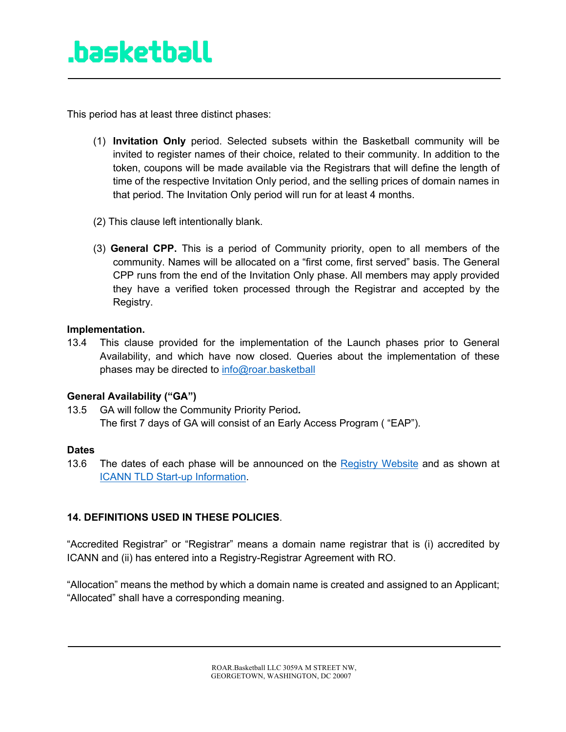This period has at least three distinct phases:

- (1) **Invitation Only** period. Selected subsets within the Basketball community will be invited to register names of their choice, related to their community. In addition to the token, coupons will be made available via the Registrars that will define the length of time of the respective Invitation Only period, and the selling prices of domain names in that period. The Invitation Only period will run for at least 4 months.
- (2) This clause left intentionally blank.
- (3) **General CPP.** This is a period of Community priority, open to all members of the community. Names will be allocated on a "first come, first served" basis. The General CPP runs from the end of the Invitation Only phase. All members may apply provided they have a verified token processed through the Registrar and accepted by the Registry.

#### **Implementation.**

13.4 This clause provided for the implementation of the Launch phases prior to General Availability, and which have now closed. Queries about the implementation of these phases may be directed to info@roar.basketball

#### **General Availability ("GA")**

13.5 GA will follow the Community Priority Period*.* The first 7 days of GA will consist of an Early Access Program ( "EAP").

#### **Dates**

13.6 The dates of each phase will be announced on the Registry Website and as shown at ICANN TLD Start-up Information.

### **14. DEFINITIONS USED IN THESE POLICIES**.

"Accredited Registrar" or "Registrar" means a domain name registrar that is (i) accredited by ICANN and (ii) has entered into a Registry-Registrar Agreement with RO.

"Allocation" means the method by which a domain name is created and assigned to an Applicant; "Allocated" shall have a corresponding meaning.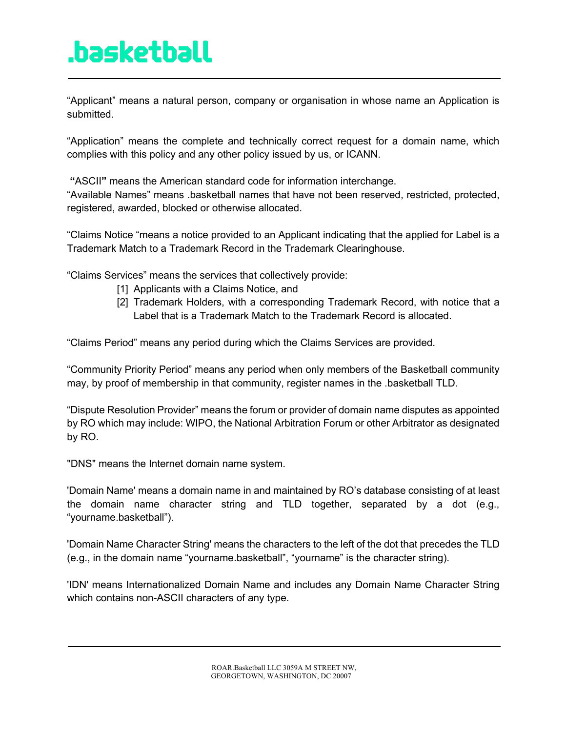"Applicant" means a natural person, company or organisation in whose name an Application is submitted.

"Application" means the complete and technically correct request for a domain name, which complies with this policy and any other policy issued by us, or ICANN.

**"**ASCII**"** means the American standard code for information interchange.

"Available Names" means .basketball names that have not been reserved, restricted, protected, registered, awarded, blocked or otherwise allocated.

"Claims Notice "means a notice provided to an Applicant indicating that the applied for Label is a Trademark Match to a Trademark Record in the Trademark Clearinghouse.

"Claims Services" means the services that collectively provide:

- [1] Applicants with a Claims Notice, and
- [2] Trademark Holders, with a corresponding Trademark Record, with notice that a Label that is a Trademark Match to the Trademark Record is allocated.

"Claims Period" means any period during which the Claims Services are provided.

"Community Priority Period" means any period when only members of the Basketball community may, by proof of membership in that community, register names in the .basketball TLD.

"Dispute Resolution Provider" means the forum or provider of domain name disputes as appointed by RO which may include: WIPO, the National Arbitration Forum or other Arbitrator as designated by RO.

"DNS" means the Internet domain name system.

'Domain Name' means a domain name in and maintained by RO's database consisting of at least the domain name character string and TLD together, separated by a dot (e.g., "yourname.basketball").

'Domain Name Character String' means the characters to the left of the dot that precedes the TLD (e.g., in the domain name "yourname.basketball", "yourname" is the character string).

'IDN' means Internationalized Domain Name and includes any Domain Name Character String which contains non-ASCII characters of any type.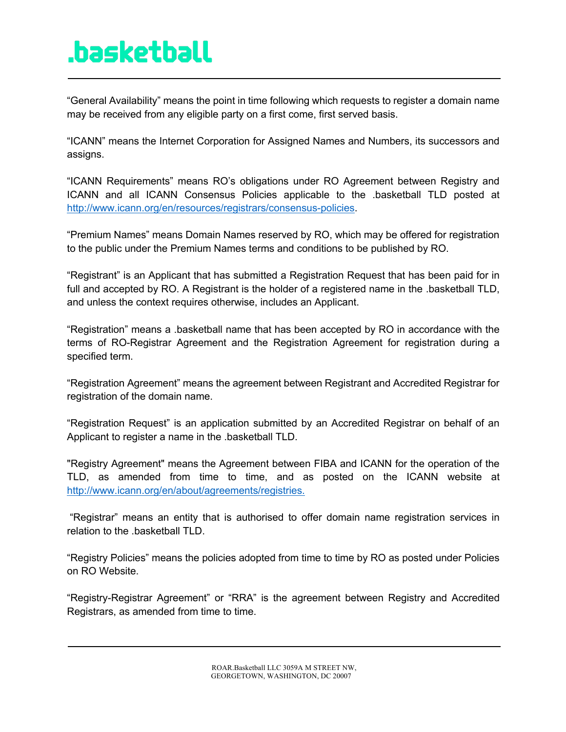"General Availability" means the point in time following which requests to register a domain name may be received from any eligible party on a first come, first served basis.

"ICANN" means the Internet Corporation for Assigned Names and Numbers, its successors and assigns.

"ICANN Requirements" means RO's obligations under RO Agreement between Registry and ICANN and all ICANN Consensus Policies applicable to the .basketball TLD posted at http://www.icann.org/en/resources/registrars/consensus-policies.

"Premium Names" means Domain Names reserved by RO, which may be offered for registration to the public under the Premium Names terms and conditions to be published by RO.

"Registrant" is an Applicant that has submitted a Registration Request that has been paid for in full and accepted by RO. A Registrant is the holder of a registered name in the .basketball TLD, and unless the context requires otherwise, includes an Applicant.

"Registration" means a .basketball name that has been accepted by RO in accordance with the terms of RO-Registrar Agreement and the Registration Agreement for registration during a specified term.

"Registration Agreement" means the agreement between Registrant and Accredited Registrar for registration of the domain name.

"Registration Request" is an application submitted by an Accredited Registrar on behalf of an Applicant to register a name in the .basketball TLD.

"Registry Agreement" means the Agreement between FIBA and ICANN for the operation of the TLD, as amended from time to time, and as posted on the ICANN website at http://www.icann.org/en/about/agreements/registries.

"Registrar" means an entity that is authorised to offer domain name registration services in relation to the .basketball TLD.

"Registry Policies" means the policies adopted from time to time by RO as posted under Policies on RO Website.

"Registry-Registrar Agreement" or "RRA" is the agreement between Registry and Accredited Registrars, as amended from time to time.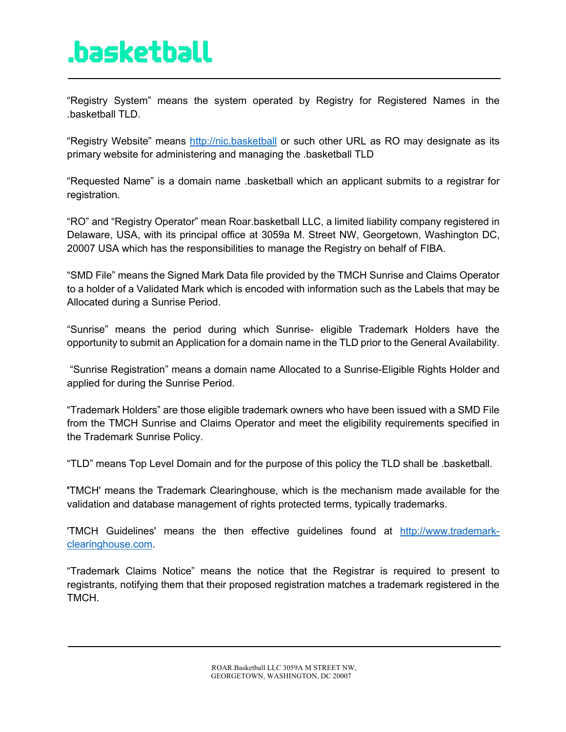"Registry System" means the system operated by Registry for Registered Names in the .basketball TLD.

"Registry Website" means http://nic.basketball or such other URL as RO may designate as its primary website for administering and managing the .basketball TLD

"Requested Name" is a domain name .basketball which an applicant submits to a registrar for registration.

"RO" and "Registry Operator" mean Roar.basketball LLC, a limited liability company registered in Delaware, USA, with its principal office at 3059a M. Street NW, Georgetown, Washington DC, 20007 USA which has the responsibilities to manage the Registry on behalf of FIBA.

"SMD File" means the Signed Mark Data file provided by the TMCH Sunrise and Claims Operator to a holder of a Validated Mark which is encoded with information such as the Labels that may be Allocated during a Sunrise Period.

"Sunrise" means the period during which Sunrise- eligible Trademark Holders have the opportunity to submit an Application for a domain name in the TLD prior to the General Availability.

"Sunrise Registration" means a domain name Allocated to a Sunrise-Eligible Rights Holder and applied for during the Sunrise Period.

"Trademark Holders" are those eligible trademark owners who have been issued with a SMD File from the TMCH Sunrise and Claims Operator and meet the eligibility requirements specified in the Trademark Sunrise Policy.

"TLD" means Top Level Domain and for the purpose of this policy the TLD shall be .basketball.

**'**TMCH' means the Trademark Clearinghouse, which is the mechanism made available for the validation and database management of rights protected terms, typically trademarks.

'TMCH Guidelines' means the then effective guidelines found at http://www.trademarkclearinghouse.com.

"Trademark Claims Notice" means the notice that the Registrar is required to present to registrants, notifying them that their proposed registration matches a trademark registered in the TMCH.